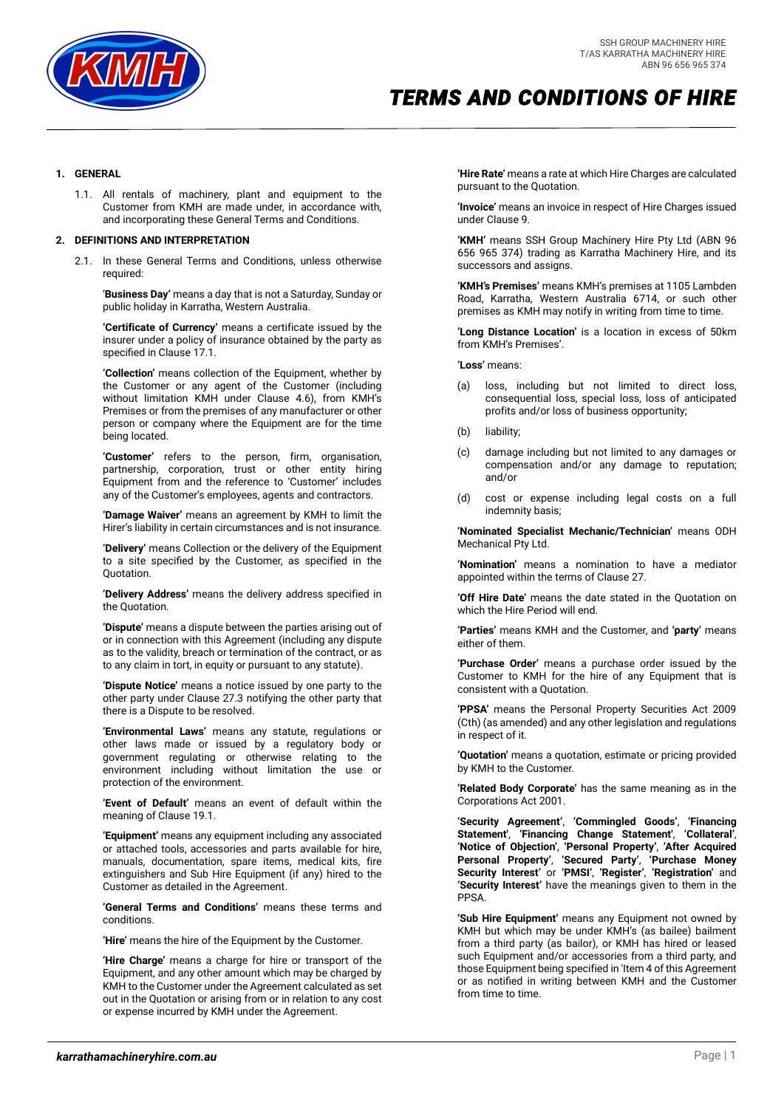

### **1. GENERAL**

1.1. All rentals of machinery, plant and equipment to the Customer from KMH are made under, in accordance with, and incorporating these General Terms and Conditions.

### **2. DEFINITIONS AND INTERPRETATION**

2.1. In these General Terms and Conditions, unless otherwise required:

'**Business Day'** means a day that is not a Saturday, Sunday or public holiday in Karratha, Western Australia.

**'Certificate of Currency'** means a certificate issued by the insurer under a policy of insurance obtained by the party as specified in Claus[e 17.1.](#page-6-0)

**'Collection'** means collection of the Equipment, whether by the Customer or any agent of the Customer (including without limitation KMH under Clause 4.6), from KMH's Premises or from the premises of any manufacturer or other person or company where the Equipment are for the time being located.

**'Customer'** refers to the person, firm, organisation, partnership, corporation, trust or other entity hiring Equipment from and the reference to 'Customer' includes any of the Customer's employees, agents and contractors.

**'Damage Waiver'** means an agreement by KMH to limit the Hirer's liability in certain circumstances and is not insurance.

**'Delivery'** means Collection or the delivery of the Equipment to a site specified by the Customer, as specified in the Quotation.

**'Delivery Address'** means the delivery address specified in the Quotation.

**'Dispute'** means a dispute between the parties arising out of or in connection with this Agreement (including any dispute as to the validity, breach or termination of the contract, or as to any claim in tort, in equity or pursuant to any statute).

**'Dispute Notice'** means a notice issued by one party to the other party under Clause [27.3](#page-8-0) notifying the other party that there is a Dispute to be resolved.

**'Environmental Laws'** means any statute, regulations or other laws made or issued by a regulatory body or government regulating or otherwise relating to the environment including without limitation the use or protection of the environment.

**'Event of Default'** means an event of default within the meaning of Claus[e 19.1.](#page-6-1)

**'Equipment'** means any equipment including any associated or attached tools, accessories and parts available for hire, manuals, documentation, spare items, medical kits, fire extinguishers and Sub Hire Equipment (if any) hired to the Customer as detailed in the Agreement.

**'General Terms and Conditions'** means these terms and conditions.

**'Hire'** means the hire of the Equipment by the Customer.

**'Hire Charge'** means a charge for hire or transport of the Equipment, and any other amount which may be charged by KMH to the Customer under the Agreement calculated as set out in the Quotation or arising from or in relation to any cost or expense incurred by KMH under the Agreement.

**'Hire Rate'** means a rate at which Hire Charges are calculated pursuant to the Quotation.

**'Invoice'** means an invoice in respect of Hire Charges issued under Claus[e 9.](#page-3-0)

**'KMH'** means SSH Group Machinery Hire Pty Ltd (ABN 96 656 965 374) trading as Karratha Machinery Hire, and its successors and assigns.

**'KMH's Premises'** means KMH's premises at 1105 Lambden Road, Karratha, Western Australia 6714, or such other premises as KMH may notify in writing from time to time.

**'Long Distance Location'** is a location in excess of 50km from KMH's Premises'.

**'Loss'** means:

- (a) loss, including but not limited to direct loss, consequential loss, special loss, loss of anticipated profits and/or loss of business opportunity;
- (b) liability;
- (c) damage including but not limited to any damages or compensation and/or any damage to reputation; and/or
- (d) cost or expense including legal costs on a full indemnity basis;

**'Nominated Specialist Mechanic/Technician'** means ODH Mechanical Pty Ltd.

**'Nomination'** means a nomination to have a mediator appointed within the terms of Claus[e 27.](#page-8-1)

**'Off Hire Date'** means the date stated in the Quotation on which the Hire Period will end.

**'Parties'** means KMH and the Customer, and **'party'** means either of them.

**'Purchase Order'** means a purchase order issued by the Customer to KMH for the hire of any Equipment that is consistent with a Quotation.

**'PPSA'** means the Personal Property Securities Act 2009 (Cth) (as amended) and any other legislation and regulations in respect of it.

**'Quotation'** means a quotation, estimate or pricing provided by KMH to the Customer.

**'Related Body Corporate'** has the same meaning as in the Corporations Act 2001.

**'Security Agreement'**, **'Commingled Goods'**, **'Financing Statement'**, **'Financing Change Statement'**, **'Collateral'**, **'Notice of Objection'**, **'Personal Property'**, **'After Acquired Personal Property'**, **'Secured Party'**, **'Purchase Money Security Interest'** or **'PMSI'**, **'Register'**, **'Registration'** and **'Security Interest'** have the meanings given to them in the PPSA.

**'Sub Hire Equipment'** means any Equipment not owned by KMH but which may be under KMH's (as bailee) bailment from a third party (as bailor), or KMH has hired or leased such Equipment and/or accessories from a third party, and those Equipment being specified in 'Item 4 of this Agreement or as notified in writing between KMH and the Customer from time to time.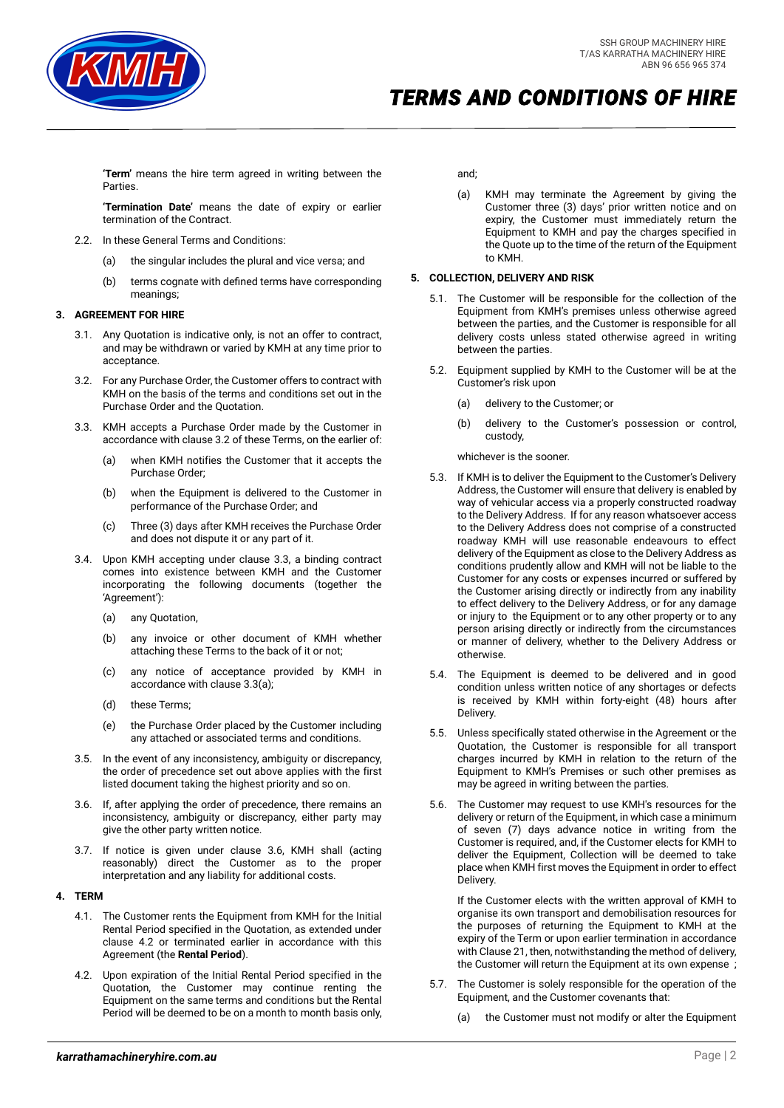

**'Term'** means the hire term agreed in writing between the Parties.

**'Termination Date'** means the date of expiry or earlier termination of the Contract.

- 2.2. In these General Terms and Conditions:
	- (a) the singular includes the plural and vice versa; and
	- (b) terms cognate with defined terms have corresponding meanings;

## **3. AGREEMENT FOR HIRE**

- 3.1. Any Quotation is indicative only, is not an offer to contract, and may be withdrawn or varied by KMH at any time prior to acceptance.
- <span id="page-1-0"></span>3.2. For any Purchase Order, the Customer offers to contract with KMH on the basis of the terms and conditions set out in the Purchase Order and the Quotation.
- <span id="page-1-2"></span><span id="page-1-1"></span>3.3. KMH accepts a Purchase Order made by the Customer in accordance with claus[e 3.2](#page-1-0) of these Terms, on the earlier of:
	- (a) when KMH notifies the Customer that it accepts the Purchase Order;
	- (b) when the Equipment is delivered to the Customer in performance of the Purchase Order; and
	- (c) Three (3) days after KMH receives the Purchase Order and does not dispute it or any part of it.
- 3.4. Upon KMH accepting under clause [3.3,](#page-1-1) a binding contract comes into existence between KMH and the Customer incorporating the following documents (together the 'Agreement'):
	- (a) any Quotation,
	- (b) any invoice or other document of KMH whether attaching these Terms to the back of it or not;
	- (c) any notice of acceptance provided by KMH in accordance with claus[e 3.3](#page-1-1)[\(a\);](#page-1-2)
	- (d) these Terms;
	- (e) the Purchase Order placed by the Customer including any attached or associated terms and conditions.
- 3.5. In the event of any inconsistency, ambiguity or discrepancy, the order of precedence set out above applies with the first listed document taking the highest priority and so on.
- <span id="page-1-3"></span>3.6. If, after applying the order of precedence, there remains an inconsistency, ambiguity or discrepancy, either party may give the other party written notice.
- 3.7. If notice is given under clause [3.6,](#page-1-3) KMH shall (acting reasonably) direct the Customer as to the proper interpretation and any liability for additional costs.

#### **4. TERM**

- 4.1. The Customer rents the Equipment from KMH for the Initial Rental Period specified in the Quotation, as extended under clause 4.2 or terminated earlier in accordance with this Agreement (the **Rental Period**).
- 4.2. Upon expiration of the Initial Rental Period specified in the Quotation, the Customer may continue renting the Equipment on the same terms and conditions but the Rental Period will be deemed to be on a month to month basis only,

and;

(a) KMH may terminate the Agreement by giving the Customer three (3) days' prior written notice and on expiry, the Customer must immediately return the Equipment to KMH and pay the charges specified in the Quote up to the time of the return of the Equipment to KMH.

## <span id="page-1-4"></span>**5. COLLECTION, DELIVERY AND RISK**

- 5.1. The Customer will be responsible for the collection of the Equipment from KMH's premises unless otherwise agreed between the parties, and the Customer is responsible for all delivery costs unless stated otherwise agreed in writing between the parties.
- 5.2. Equipment supplied by KMH to the Customer will be at the Customer's risk upon
	- (a) delivery to the Customer; or
	- (b) delivery to the Customer's possession or control, custody,

whichever is the sooner.

- 5.3. If KMH is to deliver the Equipment to the Customer's Delivery Address, the Customer will ensure that delivery is enabled by way of vehicular access via a properly constructed roadway to the Delivery Address. If for any reason whatsoever access to the Delivery Address does not comprise of a constructed roadway KMH will use reasonable endeavours to effect delivery of the Equipment as close to the Delivery Address as conditions prudently allow and KMH will not be liable to the Customer for any costs or expenses incurred or suffered by the Customer arising directly or indirectly from any inability to effect delivery to the Delivery Address, or for any damage or injury to the Equipment or to any other property or to any person arising directly or indirectly from the circumstances or manner of delivery, whether to the Delivery Address or otherwise.
- 5.4. The Equipment is deemed to be delivered and in good condition unless written notice of any shortages or defects is received by KMH within forty-eight (48) hours after Delivery.
- 5.5. Unless specifically stated otherwise in the Agreement or the Quotation, the Customer is responsible for all transport charges incurred by KMH in relation to the return of the Equipment to KMH's Premises or such other premises as may be agreed in writing between the parties.
- 5.6. The Customer may request to use KMH's resources for the delivery or return of the Equipment, in which case a minimum of seven (7) days advance notice in writing from the Customer is required, and, if the Customer elects for KMH to deliver the Equipment, Collection will be deemed to take place when KMH first moves the Equipment in order to effect Delivery.

If the Customer elects with the written approval of KMH to organise its own transport and demobilisation resources for the purposes of returning the Equipment to KMH at the expiry of the Term or upon earlier termination in accordance with Claus[e 21,](#page-7-0) then, notwithstanding the method of delivery, the Customer will return the Equipment at its own expense ;

- 5.7. The Customer is solely responsible for the operation of the Equipment, and the Customer covenants that:
	- (a) the Customer must not modify or alter the Equipment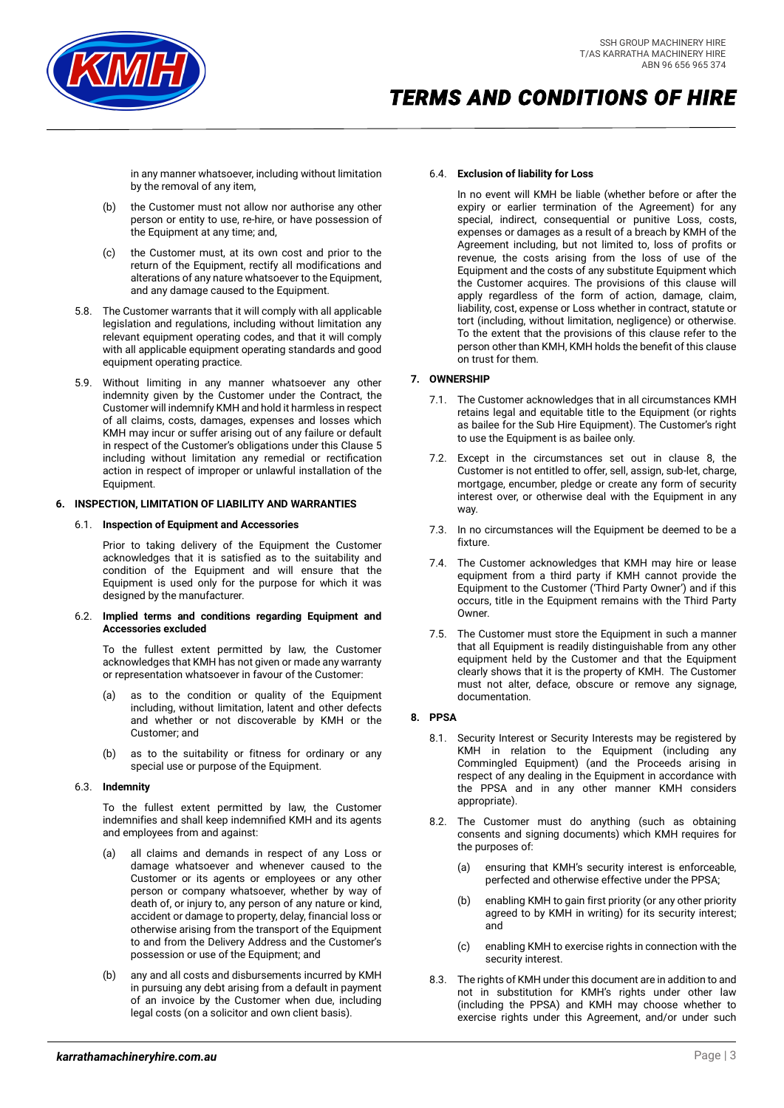

in any manner whatsoever, including without limitation by the removal of any item,

- (b) the Customer must not allow nor authorise any other person or entity to use, re-hire, or have possession of the Equipment at any time; and,
- (c) the Customer must, at its own cost and prior to the return of the Equipment, rectify all modifications and alterations of any nature whatsoever to the Equipment, and any damage caused to the Equipment.
- 5.8. The Customer warrants that it will comply with all applicable legislation and regulations, including without limitation any relevant equipment operating codes, and that it will comply with all applicable equipment operating standards and good equipment operating practice.
- 5.9. Without limiting in any manner whatsoever any other indemnity given by the Customer under the Contract, the Customer will indemnify KMH and hold it harmless in respect of all claims, costs, damages, expenses and losses which KMH may incur or suffer arising out of any failure or default in respect of the Customer's obligations under this Claus[e 5](#page-1-4) including without limitation any remedial or rectification action in respect of improper or unlawful installation of the Equipment.

## **6. INSPECTION, LIMITATION OF LIABILITY AND WARRANTIES**

## 6.1. **Inspection of Equipment and Accessories**

Prior to taking delivery of the Equipment the Customer acknowledges that it is satisfied as to the suitability and condition of the Equipment and will ensure that the Equipment is used only for the purpose for which it was designed by the manufacturer.

#### 6.2. **Implied terms and conditions regarding Equipment and Accessories excluded**

To the fullest extent permitted by law, the Customer acknowledges that KMH has not given or made any warranty or representation whatsoever in favour of the Customer:

- (a) as to the condition or quality of the Equipment including, without limitation, latent and other defects and whether or not discoverable by KMH or the Customer; and
- (b) as to the suitability or fitness for ordinary or any special use or purpose of the Equipment.

# 6.3. **Indemnity**

To the fullest extent permitted by law, the Customer indemnifies and shall keep indemnified KMH and its agents and employees from and against:

- (a) all claims and demands in respect of any Loss or damage whatsoever and whenever caused to the Customer or its agents or employees or any other person or company whatsoever, whether by way of death of, or injury to, any person of any nature or kind, accident or damage to property, delay, financial loss or otherwise arising from the transport of the Equipment to and from the Delivery Address and the Customer's possession or use of the Equipment; and
- (b) any and all costs and disbursements incurred by KMH in pursuing any debt arising from a default in payment of an invoice by the Customer when due, including legal costs (on a solicitor and own client basis).

### 6.4. **Exclusion of liability for Loss**

In no event will KMH be liable (whether before or after the expiry or earlier termination of the Agreement) for any special, indirect, consequential or punitive Loss, costs, expenses or damages as a result of a breach by KMH of the Agreement including, but not limited to, loss of profits or revenue, the costs arising from the loss of use of the Equipment and the costs of any substitute Equipment which the Customer acquires. The provisions of this clause will apply regardless of the form of action, damage, claim, liability, cost, expense or Loss whether in contract, statute or tort (including, without limitation, negligence) or otherwise. To the extent that the provisions of this clause refer to the person other than KMH, KMH holds the benefit of this clause on trust for them.

# **7. OWNERSHIP**

- 7.1. The Customer acknowledges that in all circumstances KMH retains legal and equitable title to the Equipment (or rights as bailee for the Sub Hire Equipment). The Customer's right to use the Equipment is as bailee only.
- 7.2. Except in the circumstances set out in clause [8,](#page-2-0) the Customer is not entitled to offer, sell, assign, sub-let, charge, mortgage, encumber, pledge or create any form of security interest over, or otherwise deal with the Equipment in any way.
- 7.3. In no circumstances will the Equipment be deemed to be a fixture.
- 7.4. The Customer acknowledges that KMH may hire or lease equipment from a third party if KMH cannot provide the Equipment to the Customer ('Third Party Owner') and if this occurs, title in the Equipment remains with the Third Party Owner.
- 7.5. The Customer must store the Equipment in such a manner that all Equipment is readily distinguishable from any other equipment held by the Customer and that the Equipment clearly shows that it is the property of KMH. The Customer must not alter, deface, obscure or remove any signage, documentation.

# <span id="page-2-0"></span>**8. PPSA**

- 8.1. Security Interest or Security Interests may be registered by KMH in relation to the Equipment (including any Commingled Equipment) (and the Proceeds arising in respect of any dealing in the Equipment in accordance with the PPSA and in any other manner KMH considers appropriate).
- 8.2. The Customer must do anything (such as obtaining consents and signing documents) which KMH requires for the purposes of:
	- (a) ensuring that KMH's security interest is enforceable, perfected and otherwise effective under the PPSA;
	- (b) enabling KMH to gain first priority (or any other priority agreed to by KMH in writing) for its security interest; and
	- (c) enabling KMH to exercise rights in connection with the security interest.
- 8.3. The rights of KMH under this document are in addition to and not in substitution for KMH's rights under other law (including the PPSA) and KMH may choose whether to exercise rights under this Agreement, and/or under such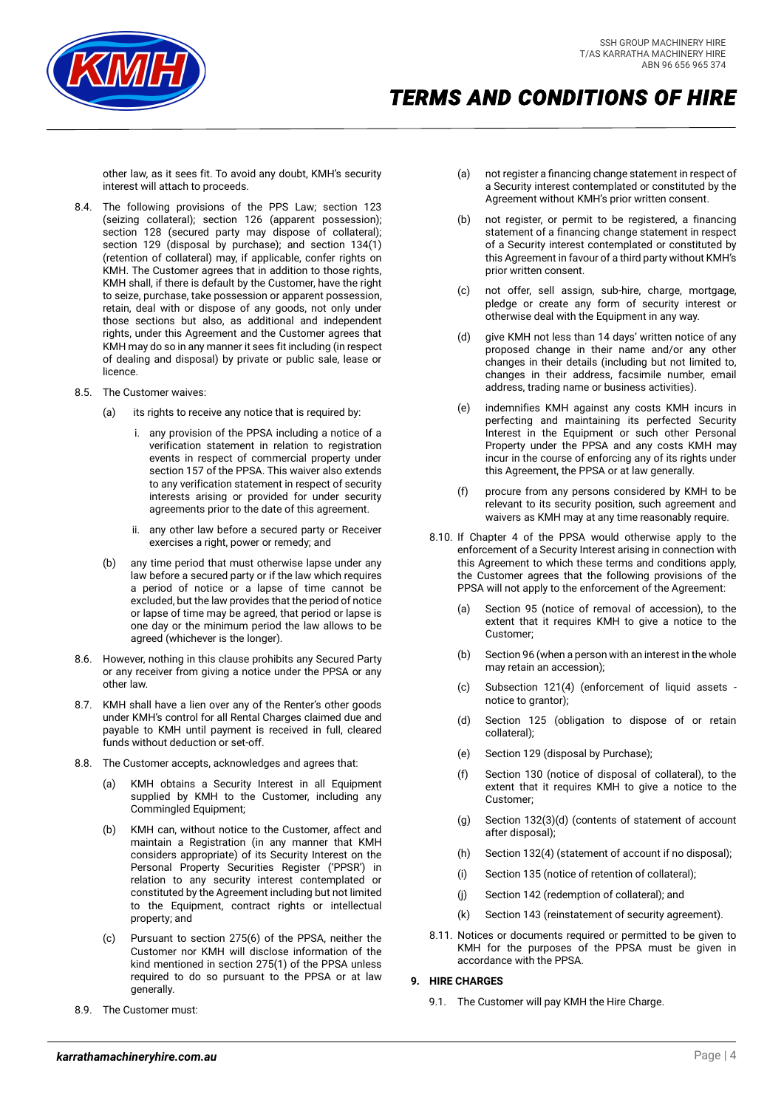

other law, as it sees fit. To avoid any doubt, KMH's security interest will attach to proceeds.

- 8.4. The following provisions of the PPS Law; section 123 (seizing collateral); section 126 (apparent possession); section 128 (secured party may dispose of collateral); section 129 (disposal by purchase); and section 134(1) (retention of collateral) may, if applicable, confer rights on KMH. The Customer agrees that in addition to those rights, KMH shall, if there is default by the Customer, have the right to seize, purchase, take possession or apparent possession, retain, deal with or dispose of any goods, not only under those sections but also, as additional and independent rights, under this Agreement and the Customer agrees that KMH may do so in any manner it sees fit including (in respect of dealing and disposal) by private or public sale, lease or licence.
- 8.5. The Customer waives:
	- (a) its rights to receive any notice that is required by:
		- i. any provision of the PPSA including a notice of a verification statement in relation to registration events in respect of commercial property under section 157 of the PPSA. This waiver also extends to any verification statement in respect of security interests arising or provided for under security agreements prior to the date of this agreement.
		- ii. any other law before a secured party or Receiver exercises a right, power or remedy; and
	- (b) any time period that must otherwise lapse under any law before a secured party or if the law which requires a period of notice or a lapse of time cannot be excluded, but the law provides that the period of notice or lapse of time may be agreed, that period or lapse is one day or the minimum period the law allows to be agreed (whichever is the longer).
- 8.6. However, nothing in this clause prohibits any Secured Party or any receiver from giving a notice under the PPSA or any other law.
- 8.7. KMH shall have a lien over any of the Renter's other goods under KMH's control for all Rental Charges claimed due and payable to KMH until payment is received in full, cleared funds without deduction or set-off.
- 8.8. The Customer accepts, acknowledges and agrees that:
	- (a) KMH obtains a Security Interest in all Equipment supplied by KMH to the Customer, including any Commingled Equipment;
	- (b) KMH can, without notice to the Customer, affect and maintain a Registration (in any manner that KMH considers appropriate) of its Security Interest on the Personal Property Securities Register ('PPSR') in relation to any security interest contemplated or constituted by the Agreement including but not limited to the Equipment, contract rights or intellectual property; and
	- (c) Pursuant to section 275(6) of the PPSA, neither the Customer nor KMH will disclose information of the kind mentioned in section 275(1) of the PPSA unless required to do so pursuant to the PPSA or at law generally.
- 8.9. The Customer must:
- (a) not register a financing change statement in respect of a Security interest contemplated or constituted by the Agreement without KMH's prior written consent.
- (b) not register, or permit to be registered, a financing statement of a financing change statement in respect of a Security interest contemplated or constituted by this Agreement in favour of a third party without KMH's prior written consent.
- not offer, sell assign, sub-hire, charge, mortgage, pledge or create any form of security interest or otherwise deal with the Equipment in any way.
- (d) give KMH not less than 14 days' written notice of any proposed change in their name and/or any other changes in their details (including but not limited to, changes in their address, facsimile number, email address, trading name or business activities).
- (e) indemnifies KMH against any costs KMH incurs in perfecting and maintaining its perfected Security Interest in the Equipment or such other Personal Property under the PPSA and any costs KMH may incur in the course of enforcing any of its rights under this Agreement, the PPSA or at law generally.
- (f) procure from any persons considered by KMH to be relevant to its security position, such agreement and waivers as KMH may at any time reasonably require.
- 8.10. If Chapter 4 of the PPSA would otherwise apply to the enforcement of a Security Interest arising in connection with this Agreement to which these terms and conditions apply, the Customer agrees that the following provisions of the PPSA will not apply to the enforcement of the Agreement:
	- (a) Section 95 (notice of removal of accession), to the extent that it requires KMH to give a notice to the Customer;
	- (b) Section 96 (when a person with an interest in the whole may retain an accession);
	- (c) Subsection 121(4) (enforcement of liquid assets notice to grantor);
	- (d) Section 125 (obligation to dispose of or retain collateral);
	- (e) Section 129 (disposal by Purchase);
	- (f) Section 130 (notice of disposal of collateral), to the extent that it requires KMH to give a notice to the Customer;
	- (g) Section 132(3)(d) (contents of statement of account after disposal);
	- (h) Section 132(4) (statement of account if no disposal);
	- (i) Section 135 (notice of retention of collateral);
	- (j) Section 142 (redemption of collateral); and
	- Section 143 (reinstatement of security agreement).
- 8.11. Notices or documents required or permitted to be given to KMH for the purposes of the PPSA must be given in accordance with the PPSA.

# <span id="page-3-0"></span>**9. HIRE CHARGES**

9.1. The Customer will pay KMH the Hire Charge.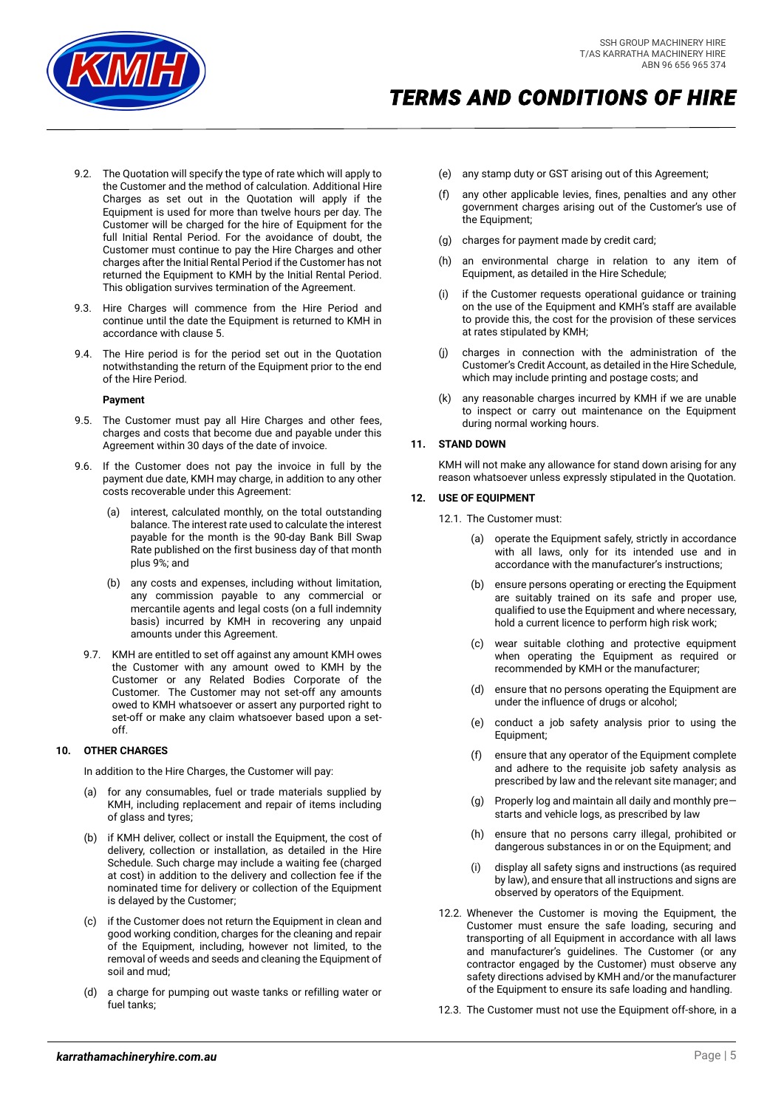

- 9.2. The Quotation will specify the type of rate which will apply to the Customer and the method of calculation. Additional Hire Charges as set out in the Quotation will apply if the Equipment is used for more than twelve hours per day. The Customer will be charged for the hire of Equipment for the full Initial Rental Period. For the avoidance of doubt, the Customer must continue to pay the Hire Charges and other charges after the Initial Rental Period if the Customer has not returned the Equipment to KMH by the Initial Rental Period. This obligation survives termination of the Agreement.
- 9.3. Hire Charges will commence from the Hire Period and continue until the date the Equipment is returned to KMH in accordance with clause [5.](#page-1-4)
- 9.4. The Hire period is for the period set out in the Quotation notwithstanding the return of the Equipment prior to the end of the Hire Period.

#### **Payment**

- 9.5. The Customer must pay all Hire Charges and other fees, charges and costs that become due and payable under this Agreement within 30 days of the date of invoice.
- 9.6. If the Customer does not pay the invoice in full by the payment due date, KMH may charge, in addition to any other costs recoverable under this Agreement:
	- (a) interest, calculated monthly, on the total outstanding balance. The interest rate used to calculate the interest payable for the month is the 90-day Bank Bill Swap Rate published on the first business day of that month plus 9%; and
	- (b) any costs and expenses, including without limitation, any commission payable to any commercial or mercantile agents and legal costs (on a full indemnity basis) incurred by KMH in recovering any unpaid amounts under this Agreement.
- 9.7. KMH are entitled to set off against any amount KMH owes the Customer with any amount owed to KMH by the Customer or any Related Bodies Corporate of the Customer. The Customer may not set-off any amounts owed to KMH whatsoever or assert any purported right to set-off or make any claim whatsoever based upon a setoff.

#### **10. OTHER CHARGES**

In addition to the Hire Charges, the Customer will pay:

- (a) for any consumables, fuel or trade materials supplied by KMH, including replacement and repair of items including of glass and tyres;
- (b) if KMH deliver, collect or install the Equipment, the cost of delivery, collection or installation, as detailed in the Hire Schedule. Such charge may include a waiting fee (charged at cost) in addition to the delivery and collection fee if the nominated time for delivery or collection of the Equipment is delayed by the Customer;
- (c) if the Customer does not return the Equipment in clean and good working condition, charges for the cleaning and repair of the Equipment, including, however not limited, to the removal of weeds and seeds and cleaning the Equipment of soil and mud;
- (d) a charge for pumping out waste tanks or refilling water or fuel tanks;
- (e) any stamp duty or GST arising out of this Agreement;
- (f) any other applicable levies, fines, penalties and any other government charges arising out of the Customer's use of the Equipment;
- (g) charges for payment made by credit card;
- (h) an environmental charge in relation to any item of Equipment, as detailed in the Hire Schedule;
- if the Customer requests operational guidance or training on the use of the Equipment and KMH's staff are available to provide this, the cost for the provision of these services at rates stipulated by KMH;
- (j) charges in connection with the administration of the Customer's Credit Account, as detailed in the Hire Schedule, which may include printing and postage costs; and
- (k) any reasonable charges incurred by KMH if we are unable to inspect or carry out maintenance on the Equipment during normal working hours.

## **11. STAND DOWN**

KMH will not make any allowance for stand down arising for any reason whatsoever unless expressly stipulated in the Quotation.

#### <span id="page-4-1"></span>**12. USE OF EQUIPMENT**

12.1. The Customer must:

- (a) operate the Equipment safely, strictly in accordance with all laws, only for its intended use and in accordance with the manufacturer's instructions;
- (b) ensure persons operating or erecting the Equipment are suitably trained on its safe and proper use, qualified to use the Equipment and where necessary, hold a current licence to perform high risk work;
- (c) wear suitable clothing and protective equipment when operating the Equipment as required or recommended by KMH or the manufacturer;
- (d) ensure that no persons operating the Equipment are under the influence of drugs or alcohol;
- (e) conduct a job safety analysis prior to using the Equipment;
- (f) ensure that any operator of the Equipment complete and adhere to the requisite job safety analysis as prescribed by law and the relevant site manager; and
- (g) Properly log and maintain all daily and monthly pre starts and vehicle logs, as prescribed by law
- (h) ensure that no persons carry illegal, prohibited or dangerous substances in or on the Equipment; and
- (i) display all safety signs and instructions (as required by law), and ensure that all instructions and signs are observed by operators of the Equipment.
- 12.2. Whenever the Customer is moving the Equipment, the Customer must ensure the safe loading, securing and transporting of all Equipment in accordance with all laws and manufacturer's guidelines. The Customer (or any contractor engaged by the Customer) must observe any safety directions advised by KMH and/or the manufacturer of the Equipment to ensure its safe loading and handling.
- <span id="page-4-0"></span>12.3. The Customer must not use the Equipment off-shore, in a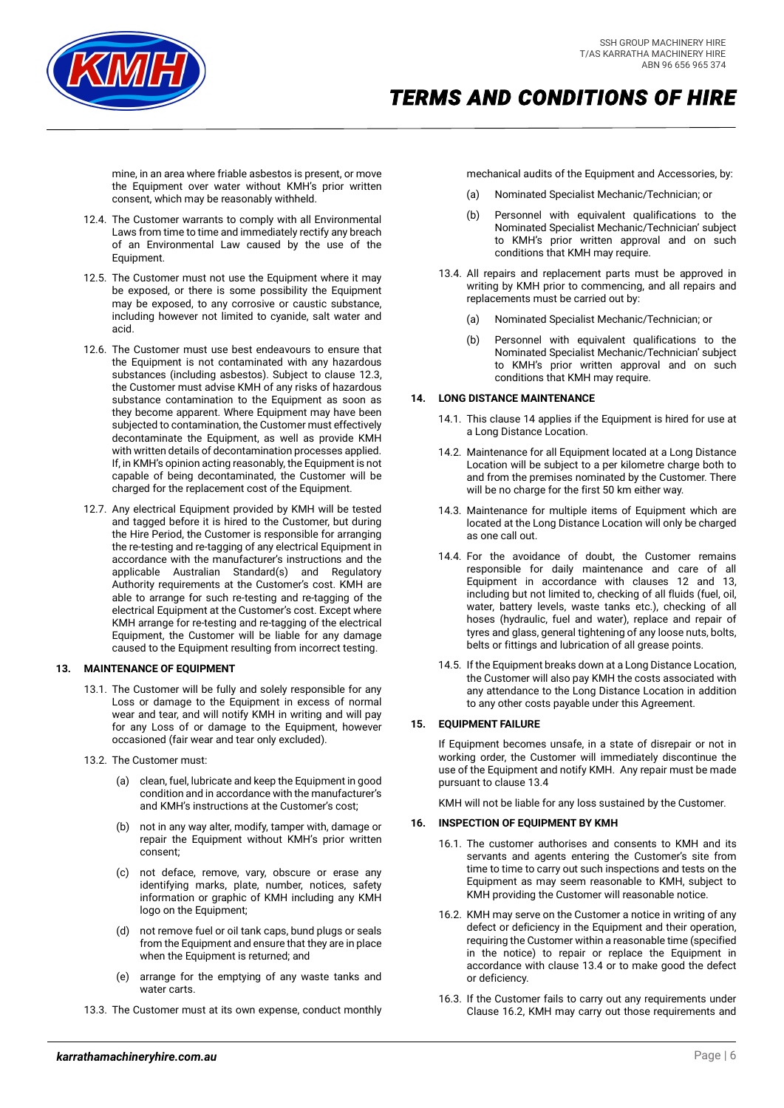

mine, in an area where friable asbestos is present, or move the Equipment over water without KMH's prior written consent, which may be reasonably withheld.

- 12.4. The Customer warrants to comply with all Environmental Laws from time to time and immediately rectify any breach of an Environmental Law caused by the use of the Equipment.
- 12.5. The Customer must not use the Equipment where it may be exposed, or there is some possibility the Equipment may be exposed, to any corrosive or caustic substance, including however not limited to cyanide, salt water and acid.
- 12.6. The Customer must use best endeavours to ensure that the Equipment is not contaminated with any hazardous substances (including asbestos). Subject to clause [12.3,](#page-4-0)  the Customer must advise KMH of any risks of hazardous substance contamination to the Equipment as soon as they become apparent. Where Equipment may have been subjected to contamination, the Customer must effectively decontaminate the Equipment, as well as provide KMH with written details of decontamination processes applied. If, in KMH's opinion acting reasonably, the Equipment is not capable of being decontaminated, the Customer will be charged for the replacement cost of the Equipment.
- 12.7. Any electrical Equipment provided by KMH will be tested and tagged before it is hired to the Customer, but during the Hire Period, the Customer is responsible for arranging the re-testing and re-tagging of any electrical Equipment in accordance with the manufacturer's instructions and the applicable Australian Standard(s) and Regulatory Authority requirements at the Customer's cost. KMH are able to arrange for such re-testing and re-tagging of the electrical Equipment at the Customer's cost. Except where KMH arrange for re-testing and re-tagging of the electrical Equipment, the Customer will be liable for any damage caused to the Equipment resulting from incorrect testing.

#### <span id="page-5-1"></span>**13. MAINTENANCE OF EQUIPMENT**

- 13.1. The Customer will be fully and solely responsible for any Loss or damage to the Equipment in excess of normal wear and tear, and will notify KMH in writing and will pay for any Loss of or damage to the Equipment, however occasioned (fair wear and tear only excluded).
- 13.2. The Customer must:
	- (a) clean, fuel, lubricate and keep the Equipment in good condition and in accordance with the manufacturer's and KMH's instructions at the Customer's cost;
	- (b) not in any way alter, modify, tamper with, damage or repair the Equipment without KMH's prior written consent;
	- (c) not deface, remove, vary, obscure or erase any identifying marks, plate, number, notices, safety information or graphic of KMH including any KMH logo on the Equipment;
	- (d) not remove fuel or oil tank caps, bund plugs or seals from the Equipment and ensure that they are in place when the Equipment is returned; and
	- (e) arrange for the emptying of any waste tanks and water carts.
- 13.3. The Customer must at its own expense, conduct monthly

mechanical audits of the Equipment and Accessories, by:

- (a) Nominated Specialist Mechanic/Technician; or
- (b) Personnel with equivalent qualifications to the Nominated Specialist Mechanic/Technician' subject to KMH's prior written approval and on such conditions that KMH may require.
- <span id="page-5-2"></span>13.4. All repairs and replacement parts must be approved in writing by KMH prior to commencing, and all repairs and replacements must be carried out by:
	- (a) Nominated Specialist Mechanic/Technician; or
	- (b) Personnel with equivalent qualifications to the Nominated Specialist Mechanic/Technician' subject to KMH's prior written approval and on such conditions that KMH may require.

#### <span id="page-5-0"></span>**14. LONG DISTANCE MAINTENANCE**

- 14.1. This claus[e 14](#page-5-0) applies if the Equipment is hired for use at a Long Distance Location.
- 14.2. Maintenance for all Equipment located at a Long Distance Location will be subject to a per kilometre charge both to and from the premises nominated by the Customer. There will be no charge for the first 50 km either way.
- 14.3. Maintenance for multiple items of Equipment which are located at the Long Distance Location will only be charged as one call out.
- 14.4. For the avoidance of doubt, the Customer remains responsible for daily maintenance and care of all Equipment in accordance with clauses [12](#page-4-1) and [13,](#page-5-1)  including but not limited to, checking of all fluids (fuel, oil, water, battery levels, waste tanks etc.), checking of all hoses (hydraulic, fuel and water), replace and repair of tyres and glass, general tightening of any loose nuts, bolts, belts or fittings and lubrication of all grease points.
- 14.5. If the Equipment breaks down at a Long Distance Location, the Customer will also pay KMH the costs associated with any attendance to the Long Distance Location in addition to any other costs payable under this Agreement.

#### **15. EQUIPMENT FAILURE**

If Equipment becomes unsafe, in a state of disrepair or not in working order, the Customer will immediately discontinue the use of the Equipment and notify KMH. Any repair must be made pursuant to claus[e 13.4](#page-5-2)

KMH will not be liable for any loss sustained by the Customer.

#### **16. INSPECTION OF EQUIPMENT BY KMH**

- 16.1. The customer authorises and consents to KMH and its servants and agents entering the Customer's site from time to time to carry out such inspections and tests on the Equipment as may seem reasonable to KMH, subject to KMH providing the Customer will reasonable notice.
- <span id="page-5-3"></span>16.2. KMH may serve on the Customer a notice in writing of any defect or deficiency in the Equipment and their operation, requiring the Customer within a reasonable time (specified in the notice) to repair or replace the Equipment in accordance with clause [13.4](#page-5-2) or to make good the defect or deficiency.
- 16.3. If the Customer fails to carry out any requirements under Clause [16.2,](#page-5-3) KMH may carry out those requirements and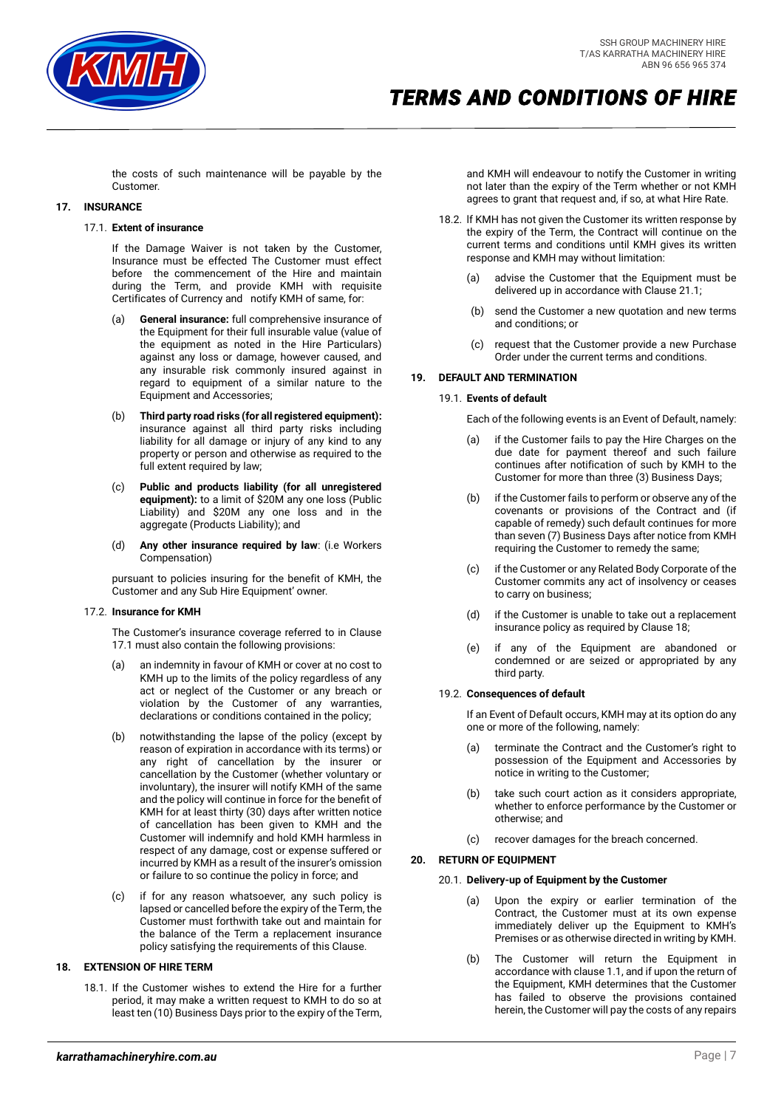

the costs of such maintenance will be payable by the Customer.

## <span id="page-6-0"></span>**17. INSURANCE**

#### 17.1. **Extent of insurance**

If the Damage Waiver is not taken by the Customer, Insurance must be effected The Customer must effect before the commencement of the Hire and maintain during the Term, and provide KMH with requisite Certificates of Currency and notify KMH of same, for:

- (a) **General insurance:** full comprehensive insurance of the Equipment for their full insurable value (value of the equipment as noted in the Hire Particulars) against any loss or damage, however caused, and any insurable risk commonly insured against in regard to equipment of a similar nature to the Equipment and Accessories;
- (b) **Third party road risks (for all registered equipment):** insurance against all third party risks including liability for all damage or injury of any kind to any property or person and otherwise as required to the full extent required by law;
- (c) **Public and products liability (for all unregistered equipment):** to a limit of \$20M any one loss (Public Liability) and \$20M any one loss and in the aggregate (Products Liability); and
- (d) **Any other insurance required by law**: (i.e Workers Compensation)

pursuant to policies insuring for the benefit of KMH, the Customer and any Sub Hire Equipment' owner.

#### 17.2. **Insurance for KMH**

The Customer's insurance coverage referred to in Clause [17.1](#page-6-0) must also contain the following provisions:

- (a) an indemnity in favour of KMH or cover at no cost to KMH up to the limits of the policy regardless of any act or neglect of the Customer or any breach or violation by the Customer of any warranties, declarations or conditions contained in the policy;
- (b) notwithstanding the lapse of the policy (except by reason of expiration in accordance with its terms) or any right of cancellation by the insurer or cancellation by the Customer (whether voluntary or involuntary), the insurer will notify KMH of the same and the policy will continue in force for the benefit of KMH for at least thirty (30) days after written notice of cancellation has been given to KMH and the Customer will indemnify and hold KMH harmless in respect of any damage, cost or expense suffered or incurred by KMH as a result of the insurer's omission or failure to so continue the policy in force; and
- (c) if for any reason whatsoever, any such policy is lapsed or cancelled before the expiry of the Term, the Customer must forthwith take out and maintain for the balance of the Term a replacement insurance policy satisfying the requirements of this Clause.

### **18. EXTENSION OF HIRE TERM**

18.1. If the Customer wishes to extend the Hire for a further period, it may make a written request to KMH to do so at least ten (10) Business Days prior to the expiry of the Term, and KMH will endeavour to notify the Customer in writing not later than the expiry of the Term whether or not KMH agrees to grant that request and, if so, at what Hire Rate.

- 18.2. lf KMH has not given the Customer its written response by the expiry of the Term, the Contract will continue on the current terms and conditions until KMH gives its written response and KMH may without limitation:
	- (a) advise the Customer that the Equipment must be delivered up in accordance with Clause 21.1;
	- (b) send the Customer a new quotation and new terms and conditions; or
	- (c) request that the Customer provide a new Purchase Order under the current terms and conditions.

### <span id="page-6-1"></span>**19. DEFAULT AND TERMINATION**

#### 19.1. **Events of default**

Each of the following events is an Event of Default, namely:

- (a) if the Customer fails to pay the Hire Charges on the due date for payment thereof and such failure continues after notification of such by KMH to the Customer for more than three (3) Business Days;
- if the Customer fails to perform or observe any of the covenants or provisions of the Contract and (if capable of remedy) such default continues for more than seven (7) Business Days after notice from KMH requiring the Customer to remedy the same;
- (c) if the Customer or any Related Body Corporate of the Customer commits any act of insolvency or ceases to carry on business;
- (d) if the Customer is unable to take out a replacement insurance policy as required by Clause 18;
- (e) if any of the Equipment are abandoned or condemned or are seized or appropriated by any third party.

#### <span id="page-6-3"></span><span id="page-6-2"></span>19.2. **Consequences of default**

If an Event of Default occurs, KMH may at its option do any one or more of the following, namely:

- (a) terminate the Contract and the Customer's right to possession of the Equipment and Accessories by notice in writing to the Customer;
- take such court action as it considers appropriate, whether to enforce performance by the Customer or otherwise; and
- (c) recover damages for the breach concerned.

# <span id="page-6-5"></span><span id="page-6-4"></span>**20. RETURN OF EQUIPMENT**

#### 20.1. **Delivery-up of Equipment by the Customer**

- (a) Upon the expiry or earlier termination of the Contract, the Customer must at its own expense immediately deliver up the Equipment to KMH's Premises or as otherwise directed in writing by KMH.
- (b) The Customer will return the Equipment in accordance with clause 1.1, and if upon the return of the Equipment, KMH determines that the Customer has failed to observe the provisions contained herein, the Customer will pay the costs of any repairs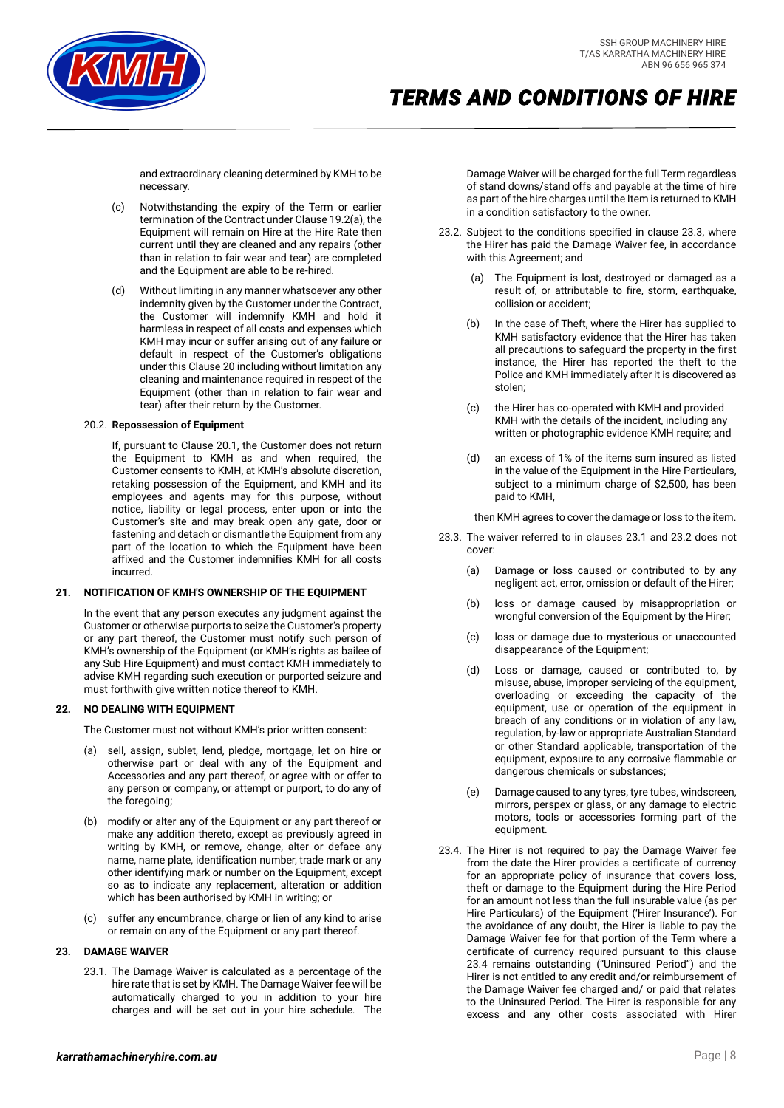

and extraordinary cleaning determined by KMH to be necessary.

- (c) Notwithstanding the expiry of the Term or earlier termination of the Contract under Claus[e 19.2](#page-6-2)[\(a\),](#page-6-3) the Equipment will remain on Hire at the Hire Rate then current until they are cleaned and any repairs (other than in relation to fair wear and tear) are completed and the Equipment are able to be re-hired.
- (d) Without limiting in any manner whatsoever any other indemnity given by the Customer under the Contract, the Customer will indemnify KMH and hold it harmless in respect of all costs and expenses which KMH may incur or suffer arising out of any failure or default in respect of the Customer's obligations under this Claus[e 20](#page-6-4) including without limitation any cleaning and maintenance required in respect of the Equipment (other than in relation to fair wear and tear) after their return by the Customer.

## 20.2. **Repossession of Equipment**

If, pursuant to Claus[e 20.1,](#page-6-5) the Customer does not return the Equipment to KMH as and when required, the Customer consents to KMH, at KMH's absolute discretion, retaking possession of the Equipment, and KMH and its employees and agents may for this purpose, without notice, liability or legal process, enter upon or into the Customer's site and may break open any gate, door or fastening and detach or dismantle the Equipment from any part of the location to which the Equipment have been affixed and the Customer indemnifies KMH for all costs incurred.

#### <span id="page-7-0"></span>**21. NOTIFICATION OF KMH'S OWNERSHIP OF THE EQUIPMENT**

In the event that any person executes any judgment against the Customer or otherwise purports to seize the Customer's property or any part thereof, the Customer must notify such person of KMH's ownership of the Equipment (or KMH's rights as bailee of any Sub Hire Equipment) and must contact KMH immediately to advise KMH regarding such execution or purported seizure and must forthwith give written notice thereof to KMH.

# **22. NO DEALING WITH EQUIPMENT**

The Customer must not without KMH's prior written consent:

- (a) sell, assign, sublet, lend, pledge, mortgage, let on hire or otherwise part or deal with any of the Equipment and Accessories and any part thereof, or agree with or offer to any person or company, or attempt or purport, to do any of the foregoing;
- (b) modify or alter any of the Equipment or any part thereof or make any addition thereto, except as previously agreed in writing by KMH, or remove, change, alter or deface any name, name plate, identification number, trade mark or any other identifying mark or number on the Equipment, except so as to indicate any replacement, alteration or addition which has been authorised by KMH in writing; or
- (c) suffer any encumbrance, charge or lien of any kind to arise or remain on any of the Equipment or any part thereof.

# <span id="page-7-1"></span>**23. DAMAGE WAIVER**

23.1. The Damage Waiver is calculated as a percentage of the hire rate that is set by KMH. The Damage Waiver fee will be automatically charged to you in addition to your hire charges and will be set out in your hire schedule. The Damage Waiver will be charged for the full Term regardless of stand downs/stand offs and payable at the time of hire as part of the hire charges until the Item is returned to KMH in a condition satisfactory to the owner.

- 23.2. Subject to the conditions specified in clause 23.3, where the Hirer has paid the Damage Waiver fee, in accordance with this Agreement; and
	- (a) The Equipment is lost, destroyed or damaged as a result of, or attributable to fire, storm, earthquake, collision or accident;
	- (b) In the case of Theft, where the Hirer has supplied to KMH satisfactory evidence that the Hirer has taken all precautions to safeguard the property in the first instance, the Hirer has reported the theft to the Police and KMH immediately after it is discovered as stolen;
	- (c) the Hirer has co-operated with KMH and provided KMH with the details of the incident, including any written or photographic evidence KMH require; and
	- (d) an excess of 1% of the items sum insured as listed in the value of the Equipment in the Hire Particulars, subject to a minimum charge of \$2,500, has been paid to KMH,

then KMH agrees to cover the damage or loss to the item.

- 23.3. The waiver referred to in clauses [23.1](#page-7-1) and 23.2 does not cover:
	- (a) Damage or loss caused or contributed to by any negligent act, error, omission or default of the Hirer;
	- (b) loss or damage caused by misappropriation or wrongful conversion of the Equipment by the Hirer;
	- (c) loss or damage due to mysterious or unaccounted disappearance of the Equipment;
	- (d) Loss or damage, caused or contributed to, by misuse, abuse, improper servicing of the equipment, overloading or exceeding the capacity of the equipment, use or operation of the equipment in breach of any conditions or in violation of any law, regulation, by-law or appropriate Australian Standard or other Standard applicable, transportation of the equipment, exposure to any corrosive flammable or dangerous chemicals or substances;
	- (e) Damage caused to any tyres, tyre tubes, windscreen, mirrors, perspex or glass, or any damage to electric motors, tools or accessories forming part of the equipment.
- <span id="page-7-2"></span>23.4. The Hirer is not required to pay the Damage Waiver fee from the date the Hirer provides a certificate of currency for an appropriate policy of insurance that covers loss, theft or damage to the Equipment during the Hire Period for an amount not less than the full insurable value (as per Hire Particulars) of the Equipment ('Hirer Insurance'). For the avoidance of any doubt, the Hirer is liable to pay the Damage Waiver fee for that portion of the Term where a certificate of currency required pursuant to this clause [23.4](#page-7-2) remains outstanding ("Uninsured Period") and the Hirer is not entitled to any credit and/or reimbursement of the Damage Waiver fee charged and/ or paid that relates to the Uninsured Period. The Hirer is responsible for any excess and any other costs associated with Hirer